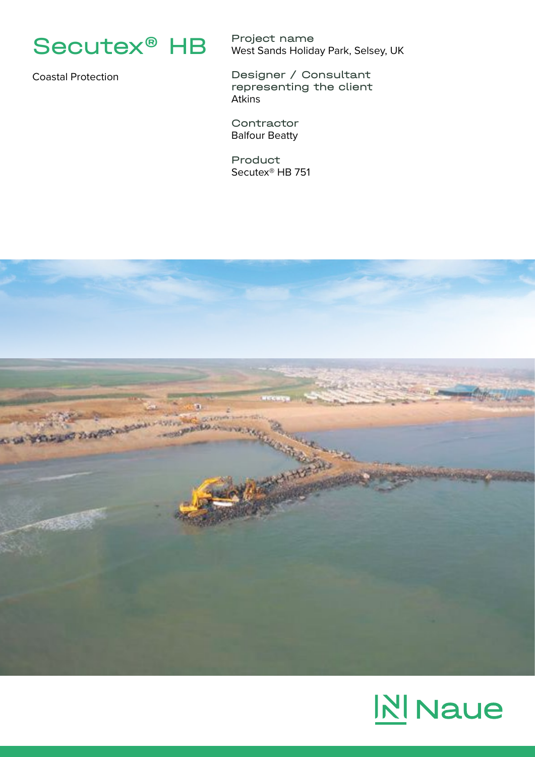

Coastal Protection

Project name West Sands Holiday Park, Selsey, UK

Designer / Consultant representing the client Atkins

**Contractor** Balfour Beatty

Product Secutex® HB 751



## **NI** Naue